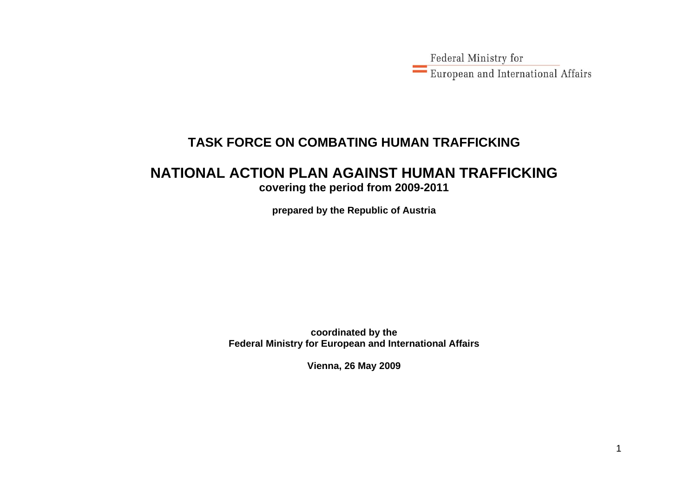Federal Ministry for European and International Affairs

### **TASK FORCE ON COMBATING HUMAN TRAFFICKING**

#### **NATIONAL ACTION PLAN AGAINST HUMAN TRAFFICKING covering the period from 2009-2011**

**prepared by the Republic of Austria** 

**coordinated by the Federal Ministry for European and International Affairs** 

**Vienna, 26 May 2009**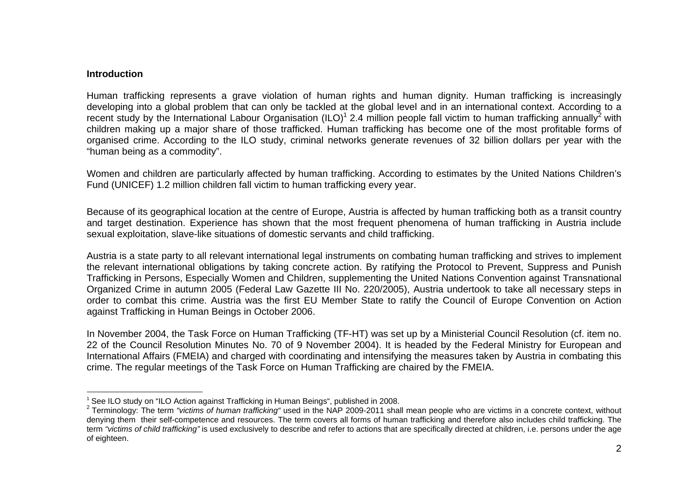#### **Introduction**

Human trafficking represents a grave violation of human rights and human dignity. Human trafficking is increasingly developing into a global problem that can only be tackled at the global level and in an international context. According to a recent study by the International Labour Organisation (ILO)<sup>1</sup> 2.4 million people fall victim to human trafficking annually<sup>2</sup> with children making up a major share of those trafficked. Human trafficking has become one of the most profitable forms of organised crime. According to the ILO study, criminal networks generate revenues of 32 billion dollars per year with the "human being as a commodity".

Women and children are particularly affected by human trafficking. According to estimates by the United Nations Children's Fund (UNICEF) 1.2 million children fall victim to human trafficking every year.

Because of its geographical location at the centre of Europe, Austria is affected by human trafficking both as a transit country and target destination. Experience has shown that the most frequent phenomena of human trafficking in Austria include sexual exploitation, slave-like situations of domestic servants and child trafficking.

Austria is a state party to all relevant international legal instruments on combating human trafficking and strives to implement the relevant international obligations by taking concrete action. By ratifying the Protocol to Prevent, Suppress and Punish Trafficking in Persons, Especially Women and Children, supplementing the United Nations Convention against Transnational Organized Crime in autumn 2005 (Federal Law Gazette III No. 220/2005), Austria undertook to take all necessary steps in order to combat this crime. Austria was the first EU Member State to ratify the Council of Europe Convention on Action against Trafficking in Human Beings in October 2006.

In November 2004, the Task Force on Human Trafficking (TF-HT) was set up by a Ministerial Council Resolution (cf. item no. 22 of the Council Resolution Minutes No. 70 of 9 November 2004). It is headed by the Federal Ministry for European and International Affairs (FMEIA) and charged with coordinating and intensifying the measures taken by Austria in combating this crime. The regular meetings of the Task Force on Human Trafficking are chaired by the FMEIA.

<sup>&</sup>lt;sup>1</sup> See ILO study on "ILO Action against Trafficking in Human Beings", published in 2008.

<sup>&</sup>lt;sup>2</sup> Terminology: The term "victims of human trafficking" used in the NAP 2009-2011 shall mean people who are victims in a concrete context, without denying them their self-competence and resources. The term covers all forms of human trafficking and therefore also includes child trafficking. The term *"victims of child trafficking"* is used exclusively to describe and refer to actions that are specifically directed at children, i.e. persons under the age of eighteen.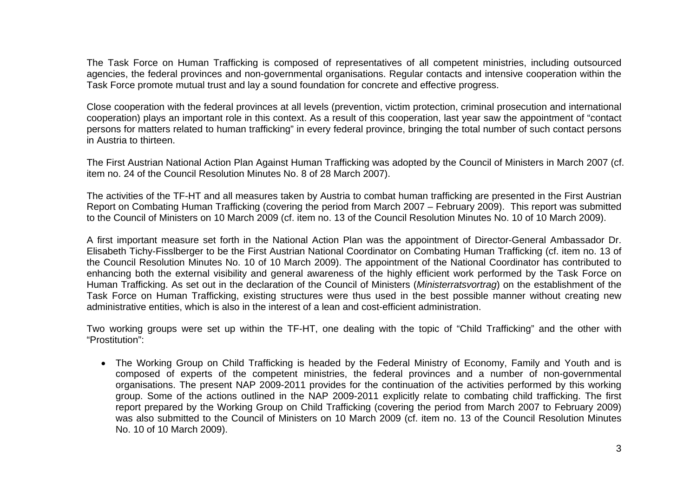The Task Force on Human Trafficking is composed of representatives of all competent ministries, including outsourced agencies, the federal provinces and non-governmental organisations. Regular contacts and intensive cooperation within the Task Force promote mutual trust and lay a sound foundation for concrete and effective progress.

Close cooperation with the federal provinces at all levels (prevention, victim protection, criminal prosecution and international cooperation) plays an important role in this context. As a result of this cooperation, last year saw the appointment of "contact persons for matters related to human trafficking" in every federal province, bringing the total number of such contact persons in Austria to thirteen.

The First Austrian National Action Plan Against Human Trafficking was adopted by the Council of Ministers in March 2007 (cf. item no. 24 of the Council Resolution Minutes No. 8 of 28 March 2007).

The activities of the TF-HT and all measures taken by Austria to combat human trafficking are presented in the First Austrian Report on Combating Human Trafficking (covering the period from March 2007 – February 2009). This report was submitted to the Council of Ministers on 10 March 2009 (cf. item no. 13 of the Council Resolution Minutes No. 10 of 10 March 2009).

A first important measure set forth in the National Action Plan was the appointment of Director-General Ambassador Dr. Elisabeth Tichy-Fisslberger to be the First Austrian National Coordinator on Combating Human Trafficking (cf. item no. 13 of the Council Resolution Minutes No. 10 of 10 March 2009). The appointment of the National Coordinator has contributed to enhancing both the external visibility and general awareness of the highly efficient work performed by the Task Force on Human Trafficking. As set out in the declaration of the Council of Ministers (*Ministerratsvortrag*) on the establishment of the Task Force on Human Trafficking, existing structures were thus used in the best possible manner without creating new administrative entities, which is also in the interest of a lean and cost-efficient administration.

Two working groups were set up within the TF-HT, one dealing with the topic of "Child Trafficking" and the other with "Prostitution":

• The Working Group on Child Trafficking is headed by the Federal Ministry of Economy, Family and Youth and is composed of experts of the competent ministries, the federal provinces and a number of non-governmental organisations. The present NAP 2009-2011 provides for the continuation of the activities performed by this working group. Some of the actions outlined in the NAP 2009-2011 explicitly relate to combating child trafficking. The first report prepared by the Working Group on Child Trafficking (covering the period from March 2007 to February 2009) was also submitted to the Council of Ministers on 10 March 2009 (cf. item no. 13 of the Council Resolution Minutes No. 10 of 10 March 2009).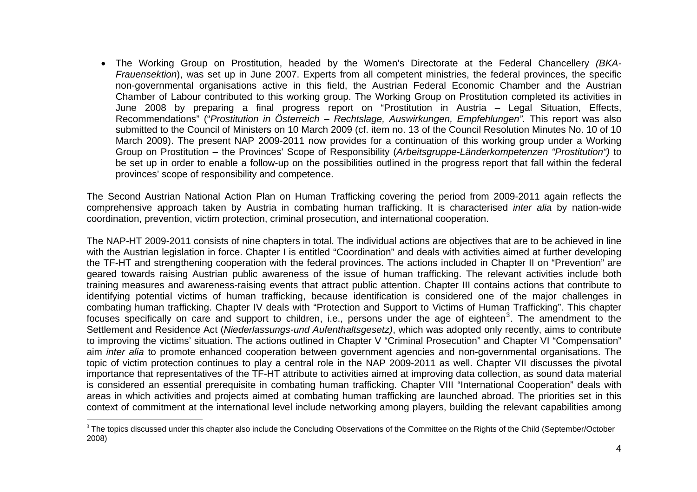• The Working Group on Prostitution, headed by the Women's Directorate at the Federal Chancellery *(BKA-Frauensektion*), was set up in June 2007. Experts from all competent ministries, the federal provinces, the specific non-governmental organisations active in this field, the Austrian Federal Economic Chamber and the Austrian Chamber of Labour contributed to this working group. The Working Group on Prostitution completed its activities in June 2008 by preparing a final progress report on "Prostitution in Austria – Legal Situation, Effects, Recommendations" ("*Prostitution in Österreich – Rechtslage, Auswirkungen, Empfehlungen".* This report was also submitted to the Council of Ministers on 10 March 2009 (cf. item no. 13 of the Council Resolution Minutes No. 10 of 10 March 2009). The present NAP 2009-2011 now provides for a continuation of this working group under a Working Group on Prostitution – the Provinces' Scope of Responsibility (*Arbeitsgruppe-Länderkompetenzen "Prostitution")* to be set up in order to enable a follow-up on the possibilities outlined in the progress report that fall within the federal provinces' scope of responsibility and competence.

The Second Austrian National Action Plan on Human Trafficking covering the period from 2009-2011 again reflects the comprehensive approach taken by Austria in combating human trafficking. It is characterised *inter alia* by nation-wide coordination, prevention, victim protection, criminal prosecution, and international cooperation.

The NAP-HT 2009-2011 consists of nine chapters in total. The individual actions are objectives that are to be achieved in line with the Austrian legislation in force. Chapter I is entitled "Coordination" and deals with activities aimed at further developing the TF-HT and strengthening cooperation with the federal provinces. The actions included in Chapter II on "Prevention" are geared towards raising Austrian public awareness of the issue of human trafficking. The relevant activities include both training measures and awareness-raising events that attract public attention. Chapter III contains actions that contribute to identifying potential victims of human trafficking, because identification is considered one of the major challenges in combating human trafficking. Chapter IV deals with "Protection and Support to Victims of Human Trafficking". This chapter focuses specifically on care and support to children, i.e., persons under the age of eighteen<sup>3</sup>. The amendment to the Settlement and Residence Act (*Niederlassungs-und Aufenthaltsgesetz)*, which was adopted only recently, aims to contribute to improving the victims' situation. The actions outlined in Chapter V "Criminal Prosecution" and Chapter VI "Compensation" aim *inter alia* to promote enhanced cooperation between government agencies and non-governmental organisations. The topic of victim protection continues to play a central role in the NAP 2009-2011 as well. Chapter VII discusses the pivotal importance that representatives of the TF-HT attribute to activities aimed at improving data collection, as sound data material is considered an essential prerequisite in combating human trafficking. Chapter VIII "International Cooperation" deals with areas in which activities and projects aimed at combating human trafficking are launched abroad. The priorities set in this context of commitment at the international level include networking among players, building the relevant capabilities among

 $3$  The topics discussed under this chapter also include the Concluding Observations of the Committee on the Rights of the Child (September/October 2008)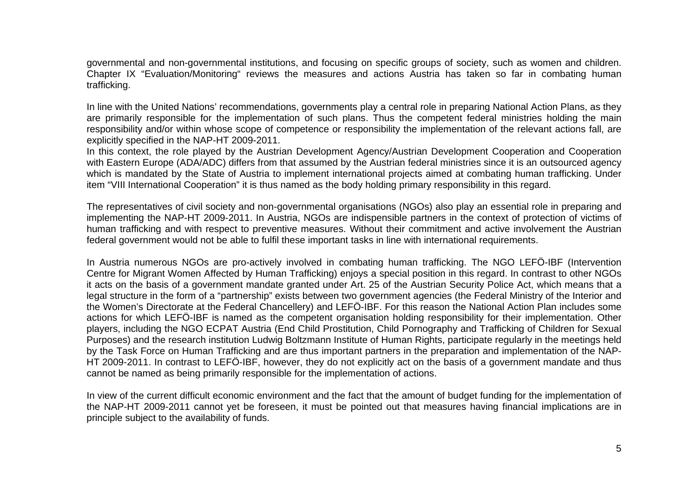governmental and non-governmental institutions, and focusing on specific groups of society, such as women and children. Chapter IX "Evaluation/Monitoring" reviews the measures and actions Austria has taken so far in combating human trafficking.

In line with the United Nations' recommendations, governments play a central role in preparing National Action Plans, as they are primarily responsible for the implementation of such plans. Thus the competent federal ministries holding the main responsibility and/or within whose scope of competence or responsibility the implementation of the relevant actions fall, are explicitly specified in the NAP-HT 2009-2011.

In this context, the role played by the Austrian Development Agency/Austrian Development Cooperation and Cooperation with Eastern Europe (ADA/ADC) differs from that assumed by the Austrian federal ministries since it is an outsourced agency which is mandated by the State of Austria to implement international projects aimed at combating human trafficking. Under item "VIII International Cooperation" it is thus named as the body holding primary responsibility in this regard.

The representatives of civil society and non-governmental organisations (NGOs) also play an essential role in preparing and implementing the NAP-HT 2009-2011. In Austria, NGOs are indispensible partners in the context of protection of victims of human trafficking and with respect to preventive measures. Without their commitment and active involvement the Austrian federal government would not be able to fulfil these important tasks in line with international requirements.

In Austria numerous NGOs are pro-actively involved in combating human trafficking. The NGO LEFÖ-IBF (Intervention Centre for Migrant Women Affected by Human Trafficking) enjoys a special position in this regard. In contrast to other NGOs it acts on the basis of a government mandate granted under Art. 25 of the Austrian Security Police Act, which means that a legal structure in the form of a "partnership" exists between two government agencies (the Federal Ministry of the Interior and the Women's Directorate at the Federal Chancellery) and LEFÖ-IBF. For this reason the National Action Plan includes some actions for which LEFÖ-IBF is named as the competent organisation holding responsibility for their implementation. Other players, including the NGO ECPAT Austria (End Child Prostitution, Child Pornography and Trafficking of Children for Sexual Purposes) and the research institution Ludwig Boltzmann Institute of Human Rights, participate regularly in the meetings held by the Task Force on Human Trafficking and are thus important partners in the preparation and implementation of the NAP-HT 2009-2011. In contrast to LEFÖ-IBF, however, they do not explicitly act on the basis of a government mandate and thus cannot be named as being primarily responsible for the implementation of actions.

In view of the current difficult economic environment and the fact that the amount of budget funding for the implementation of the NAP-HT 2009-2011 cannot yet be foreseen, it must be pointed out that measures having financial implications are in principle subject to the availability of funds.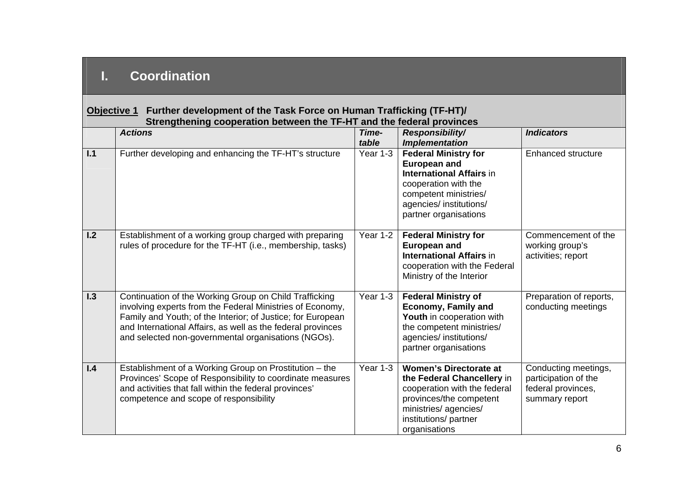# **I. Coordination**

| Objective 1 | Further development of the Task Force on Human Trafficking (TF-HT)/<br>Strengthening cooperation between the TF-HT and the federal provinces                                                                                                                                                             |                |                                                                                                                                                                                            |                                                                                      |
|-------------|----------------------------------------------------------------------------------------------------------------------------------------------------------------------------------------------------------------------------------------------------------------------------------------------------------|----------------|--------------------------------------------------------------------------------------------------------------------------------------------------------------------------------------------|--------------------------------------------------------------------------------------|
|             | <b>Actions</b>                                                                                                                                                                                                                                                                                           | Time-<br>table | <b>Responsibility/</b><br><b>Implementation</b>                                                                                                                                            | <b>Indicators</b>                                                                    |
| 1.1         | Further developing and enhancing the TF-HT's structure                                                                                                                                                                                                                                                   | Year 1-3       | <b>Federal Ministry for</b><br><b>European and</b><br><b>International Affairs in</b><br>cooperation with the<br>competent ministries/<br>agencies/ institutions/<br>partner organisations | <b>Enhanced structure</b>                                                            |
| 1.2         | Establishment of a working group charged with preparing<br>rules of procedure for the TF-HT (i.e., membership, tasks)                                                                                                                                                                                    | Year 1-2       | <b>Federal Ministry for</b><br><b>European and</b><br><b>International Affairs in</b><br>cooperation with the Federal<br>Ministry of the Interior                                          | Commencement of the<br>working group's<br>activities; report                         |
| 1.3         | Continuation of the Working Group on Child Trafficking<br>involving experts from the Federal Ministries of Economy,<br>Family and Youth; of the Interior; of Justice; for European<br>and International Affairs, as well as the federal provinces<br>and selected non-governmental organisations (NGOs). | Year 1-3       | <b>Federal Ministry of</b><br><b>Economy, Family and</b><br>Youth in cooperation with<br>the competent ministries/<br>agencies/ institutions/<br>partner organisations                     | Preparation of reports,<br>conducting meetings                                       |
| 1.4         | Establishment of a Working Group on Prostitution - the<br>Provinces' Scope of Responsibility to coordinate measures<br>and activities that fall within the federal provinces'<br>competence and scope of responsibility                                                                                  | Year 1-3       | <b>Women's Directorate at</b><br>the Federal Chancellery in<br>cooperation with the federal<br>provinces/the competent<br>ministries/agencies/<br>institutions/partner<br>organisations    | Conducting meetings,<br>participation of the<br>federal provinces,<br>summary report |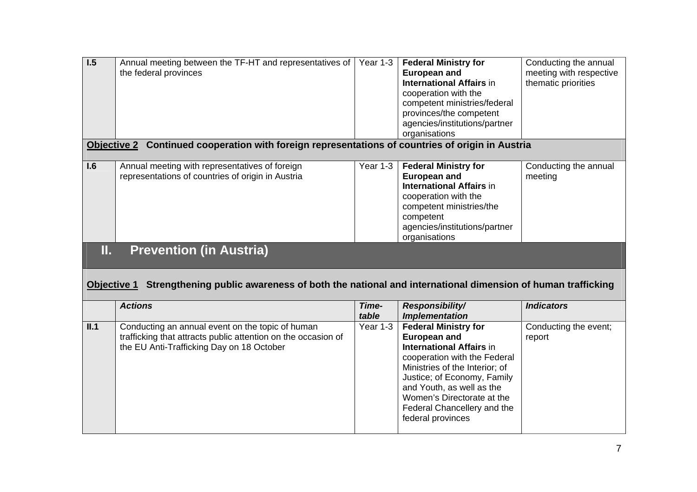| $\overline{1.5}$ | Annual meeting between the TF-HT and representatives of<br>the federal provinces                     | Year 1-3                   | <b>Federal Ministry for</b><br><b>European and</b><br><b>International Affairs in</b><br>cooperation with the<br>competent ministries/federal<br>provinces/the competent<br>agencies/institutions/partner<br>organisations | Conducting the annual<br>meeting with respective<br>thematic priorities |
|------------------|------------------------------------------------------------------------------------------------------|----------------------------|----------------------------------------------------------------------------------------------------------------------------------------------------------------------------------------------------------------------------|-------------------------------------------------------------------------|
| Objective 2      | Continued cooperation with foreign representations of countries of origin in Austria                 |                            |                                                                                                                                                                                                                            |                                                                         |
| 1.6              | Annual meeting with representatives of foreign<br>representations of countries of origin in Austria  | Year 1-3                   | <b>Federal Ministry for</b><br><b>European and</b><br><b>International Affairs in</b><br>cooperation with the<br>competent ministries/the<br>competent<br>agencies/institutions/partner<br>organisations                   | Conducting the annual<br>meeting                                        |
| Π.               | <b>Prevention (in Austria)</b>                                                                       |                            |                                                                                                                                                                                                                            |                                                                         |
| Objective 1      | Strengthening public awareness of both the national and international dimension of human trafficking |                            |                                                                                                                                                                                                                            |                                                                         |
|                  | <b>Actions</b><br>Conducting an annual event on the topic of human                                   | Time-<br>table<br>Year 1-3 | Responsibility/<br><b>Implementation</b>                                                                                                                                                                                   | <b>Indicators</b>                                                       |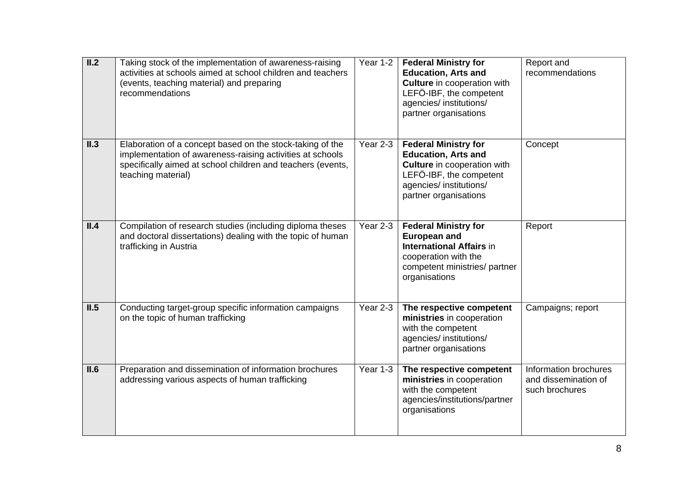| II.2 | Taking stock of the implementation of awareness-raising<br>activities at schools aimed at school children and teachers<br>(events, teaching material) and preparing<br>recommendations                      | Year 1-2 | <b>Federal Ministry for</b><br><b>Education, Arts and</b><br><b>Culture</b> in cooperation with<br>LEFÖ-IBF, the competent<br>agencies/ institutions/<br>partner organisations | Report and<br>recommendations                                   |
|------|-------------------------------------------------------------------------------------------------------------------------------------------------------------------------------------------------------------|----------|--------------------------------------------------------------------------------------------------------------------------------------------------------------------------------|-----------------------------------------------------------------|
| II.3 | Elaboration of a concept based on the stock-taking of the<br>implementation of awareness-raising activities at schools<br>specifically aimed at school children and teachers (events,<br>teaching material) | Year 2-3 | <b>Federal Ministry for</b><br><b>Education, Arts and</b><br><b>Culture</b> in cooperation with<br>LEFÖ-IBF, the competent<br>agencies/ institutions/<br>partner organisations | Concept                                                         |
| II.4 | Compilation of research studies (including diploma theses<br>and doctoral dissertations) dealing with the topic of human<br>trafficking in Austria                                                          | Year 2-3 | <b>Federal Ministry for</b><br><b>European and</b><br><b>International Affairs in</b><br>cooperation with the<br>competent ministries/ partner<br>organisations                | Report                                                          |
| II.5 | Conducting target-group specific information campaigns<br>on the topic of human trafficking                                                                                                                 | Year 2-3 | The respective competent<br>ministries in cooperation<br>with the competent<br>agencies/ institutions/<br>partner organisations                                                | Campaigns; report                                               |
| II.6 | Preparation and dissemination of information brochures<br>addressing various aspects of human trafficking                                                                                                   | Year 1-3 | The respective competent<br>ministries in cooperation<br>with the competent<br>agencies/institutions/partner<br>organisations                                                  | Information brochures<br>and dissemination of<br>such brochures |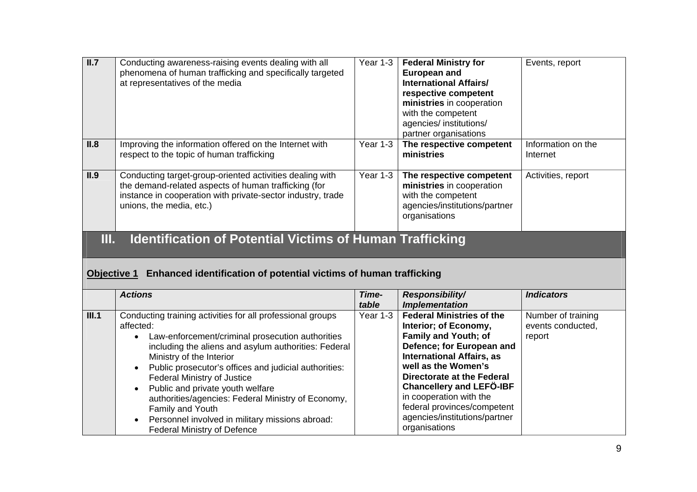| II.7        | Conducting awareness-raising events dealing with all<br>phenomena of human trafficking and specifically targeted<br>at representatives of the media                                                         | Year 1-3                   | <b>Federal Ministry for</b><br><b>European and</b><br><b>International Affairs/</b><br>respective competent<br>ministries in cooperation<br>with the competent<br>agencies/ institutions/<br>partner organisations | Events, report                          |
|-------------|-------------------------------------------------------------------------------------------------------------------------------------------------------------------------------------------------------------|----------------------------|--------------------------------------------------------------------------------------------------------------------------------------------------------------------------------------------------------------------|-----------------------------------------|
| II.8        | Improving the information offered on the Internet with<br>respect to the topic of human trafficking                                                                                                         | Year $1-3$                 | The respective competent<br>ministries                                                                                                                                                                             | Information on the<br>Internet          |
| II.9        | Conducting target-group-oriented activities dealing with<br>the demand-related aspects of human trafficking (for<br>instance in cooperation with private-sector industry, trade<br>unions, the media, etc.) | Year 1-3                   | The respective competent<br>ministries in cooperation<br>with the competent<br>agencies/institutions/partner<br>organisations                                                                                      | Activities, report                      |
|             |                                                                                                                                                                                                             |                            |                                                                                                                                                                                                                    |                                         |
| Ш.          | <b>Identification of Potential Victims of Human Trafficking</b>                                                                                                                                             |                            |                                                                                                                                                                                                                    |                                         |
| Objective 1 | Enhanced identification of potential victims of human trafficking                                                                                                                                           |                            |                                                                                                                                                                                                                    |                                         |
| III.1       | <b>Actions</b><br>Conducting training activities for all professional groups                                                                                                                                | Time-<br>table<br>Year 1-3 | Responsibility/<br><b>Implementation</b><br><b>Federal Ministries of the</b>                                                                                                                                       | <b>Indicators</b><br>Number of training |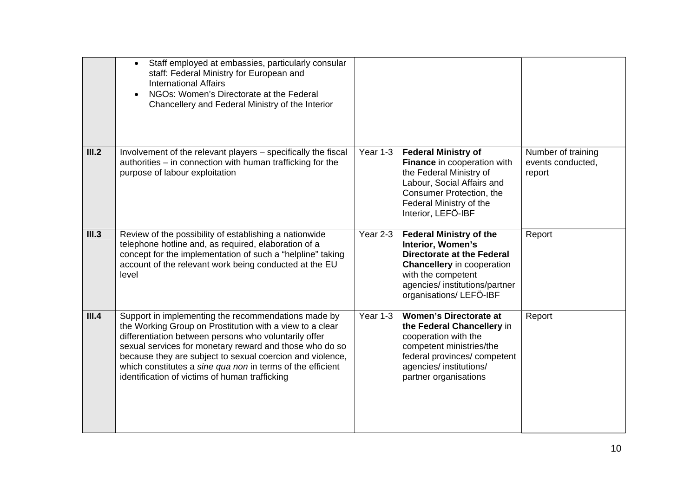|       | Staff employed at embassies, particularly consular<br>$\bullet$<br>staff: Federal Ministry for European and<br><b>International Affairs</b><br>NGOs: Women's Directorate at the Federal<br>Chancellery and Federal Ministry of the Interior                                                                                                                                                                      |          |                                                                                                                                                                                                                 |                                                   |
|-------|------------------------------------------------------------------------------------------------------------------------------------------------------------------------------------------------------------------------------------------------------------------------------------------------------------------------------------------------------------------------------------------------------------------|----------|-----------------------------------------------------------------------------------------------------------------------------------------------------------------------------------------------------------------|---------------------------------------------------|
| III.2 | Involvement of the relevant players - specifically the fiscal<br>authorities - in connection with human trafficking for the<br>purpose of labour exploitation                                                                                                                                                                                                                                                    | Year 1-3 | <b>Federal Ministry of</b><br>Finance in cooperation with<br>the Federal Ministry of<br>Labour, Social Affairs and<br>Consumer Protection, the<br>Federal Ministry of the<br>Interior, LEFÖ-IBF                 | Number of training<br>events conducted,<br>report |
| III.3 | Review of the possibility of establishing a nationwide<br>telephone hotline and, as required, elaboration of a<br>concept for the implementation of such a "helpline" taking<br>account of the relevant work being conducted at the EU<br>level                                                                                                                                                                  | Year 2-3 | <b>Federal Ministry of the</b><br>Interior, Women's<br><b>Directorate at the Federal</b><br><b>Chancellery</b> in cooperation<br>with the competent<br>agencies/ institutions/partner<br>organisations/LEFÖ-IBF | Report                                            |
| III.4 | Support in implementing the recommendations made by<br>the Working Group on Prostitution with a view to a clear<br>differentiation between persons who voluntarily offer<br>sexual services for monetary reward and those who do so<br>because they are subject to sexual coercion and violence,<br>which constitutes a sine qua non in terms of the efficient<br>identification of victims of human trafficking | Year 1-3 | <b>Women's Directorate at</b><br>the Federal Chancellery in<br>cooperation with the<br>competent ministries/the<br>federal provinces/ competent<br>agencies/ institutions/<br>partner organisations             | Report                                            |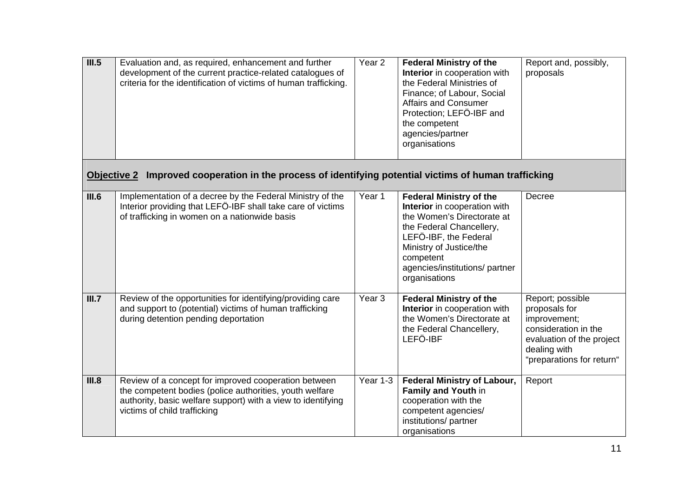| III.5              | Evaluation and, as required, enhancement and further<br>development of the current practice-related catalogues of<br>criteria for the identification of victims of human trafficking.                           | Year <sub>2</sub> | <b>Federal Ministry of the</b><br>Interior in cooperation with<br>the Federal Ministries of<br>Finance; of Labour, Social<br><b>Affairs and Consumer</b><br>Protection; LEFÖ-IBF and<br>the competent<br>agencies/partner<br>organisations   | Report and, possibly,<br>proposals                                                                                                                  |
|--------------------|-----------------------------------------------------------------------------------------------------------------------------------------------------------------------------------------------------------------|-------------------|----------------------------------------------------------------------------------------------------------------------------------------------------------------------------------------------------------------------------------------------|-----------------------------------------------------------------------------------------------------------------------------------------------------|
| <b>Objective 2</b> | Improved cooperation in the process of identifying potential victims of human trafficking                                                                                                                       |                   |                                                                                                                                                                                                                                              |                                                                                                                                                     |
| III.6              | Implementation of a decree by the Federal Ministry of the<br>Interior providing that LEFÖ-IBF shall take care of victims<br>of trafficking in women on a nationwide basis                                       | Year 1            | <b>Federal Ministry of the</b><br>Interior in cooperation with<br>the Women's Directorate at<br>the Federal Chancellery,<br>LEFÖ-IBF, the Federal<br>Ministry of Justice/the<br>competent<br>agencies/institutions/ partner<br>organisations | Decree                                                                                                                                              |
| III.7              | Review of the opportunities for identifying/providing care<br>and support to (potential) victims of human trafficking<br>during detention pending deportation                                                   | Year <sub>3</sub> | <b>Federal Ministry of the</b><br>Interior in cooperation with<br>the Women's Directorate at<br>the Federal Chancellery,<br>LEFÖ-IBF                                                                                                         | Report; possible<br>proposals for<br>improvement;<br>consideration in the<br>evaluation of the project<br>dealing with<br>"preparations for return" |
| III.8              | Review of a concept for improved cooperation between<br>the competent bodies (police authorities, youth welfare<br>authority, basic welfare support) with a view to identifying<br>victims of child trafficking | Year 1-3          | <b>Federal Ministry of Labour,</b><br>Family and Youth in<br>cooperation with the<br>competent agencies/<br>institutions/partner<br>organisations                                                                                            | Report                                                                                                                                              |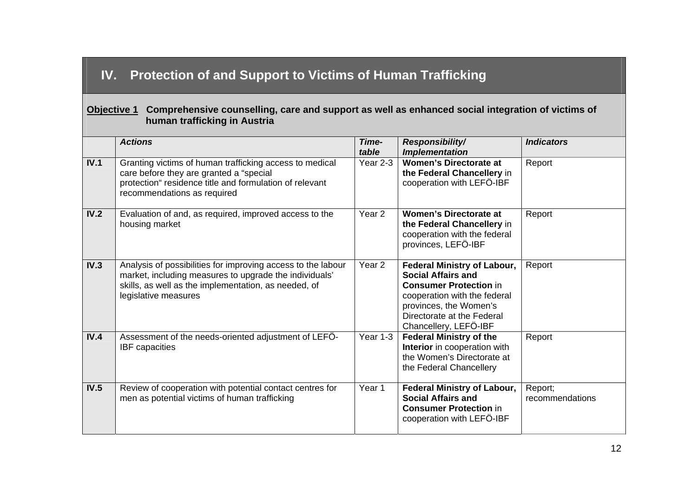## **IV. Protection of and Support to Victims of Human Trafficking**

#### **Objective 1 Comprehensive counselling, care and support as well as enhanced social integration of victims of human trafficking in Austria**

|      | <b>Actions</b>                                                                                                                                                                                         | Time-<br>table    | <b>Responsibility/</b><br><b>Implementation</b>                                                                                                                                                                   | <b>Indicators</b>          |
|------|--------------------------------------------------------------------------------------------------------------------------------------------------------------------------------------------------------|-------------------|-------------------------------------------------------------------------------------------------------------------------------------------------------------------------------------------------------------------|----------------------------|
| IV.1 | Granting victims of human trafficking access to medical<br>care before they are granted a "special<br>protection" residence title and formulation of relevant<br>recommendations as required           | Year 2-3          | <b>Women's Directorate at</b><br>the Federal Chancellery in<br>cooperation with LEFÖ-IBF                                                                                                                          | Report                     |
| IV.2 | Evaluation of and, as required, improved access to the<br>housing market                                                                                                                               | Year <sub>2</sub> | <b>Women's Directorate at</b><br>the Federal Chancellery in<br>cooperation with the federal<br>provinces, LEFÖ-IBF                                                                                                | Report                     |
| IV.3 | Analysis of possibilities for improving access to the labour<br>market, including measures to upgrade the individuals'<br>skills, as well as the implementation, as needed, of<br>legislative measures | Year <sub>2</sub> | <b>Federal Ministry of Labour,</b><br><b>Social Affairs and</b><br><b>Consumer Protection in</b><br>cooperation with the federal<br>provinces, the Women's<br>Directorate at the Federal<br>Chancellery, LEFÖ-IBF | Report                     |
| IV.4 | Assessment of the needs-oriented adjustment of LEFÖ-<br><b>IBF</b> capacities                                                                                                                          | Year 1-3          | <b>Federal Ministry of the</b><br>Interior in cooperation with<br>the Women's Directorate at<br>the Federal Chancellery                                                                                           | Report                     |
| IV.5 | Review of cooperation with potential contact centres for<br>men as potential victims of human trafficking                                                                                              | Year 1            | <b>Federal Ministry of Labour,</b><br><b>Social Affairs and</b><br><b>Consumer Protection in</b><br>cooperation with LEFÖ-IBF                                                                                     | Report;<br>recommendations |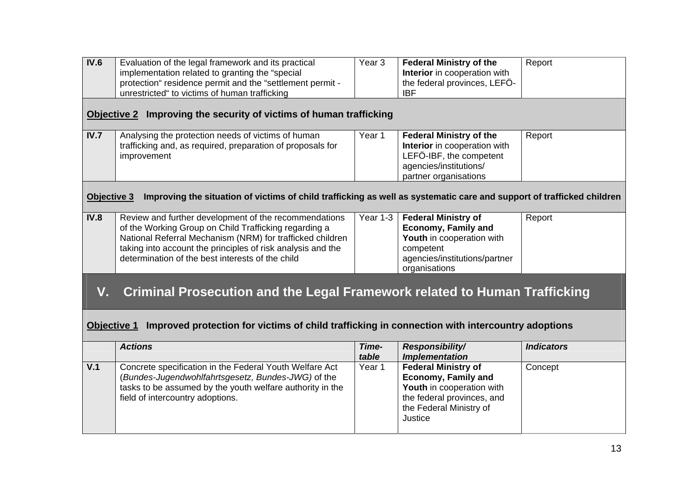| IV.6               | Evaluation of the legal framework and its practical<br>implementation related to granting the "special<br>protection" residence permit and the "settlement permit -<br>unrestricted" to victims of human trafficking                                                                           | Year <sub>3</sub> | <b>Federal Ministry of the</b><br>Interior in cooperation with<br>the federal provinces, LEFÖ-<br><b>IBF</b>                                              | Report            |  |
|--------------------|------------------------------------------------------------------------------------------------------------------------------------------------------------------------------------------------------------------------------------------------------------------------------------------------|-------------------|-----------------------------------------------------------------------------------------------------------------------------------------------------------|-------------------|--|
| <b>Objective 2</b> | Improving the security of victims of human trafficking                                                                                                                                                                                                                                         |                   |                                                                                                                                                           |                   |  |
| IV.7               | Analysing the protection needs of victims of human<br>trafficking and, as required, preparation of proposals for<br>improvement                                                                                                                                                                | Year 1            | <b>Federal Ministry of the</b><br>Interior in cooperation with<br>LEFÖ-IBF, the competent<br>agencies/institutions/<br>partner organisations              | Report            |  |
| Objective 3        | Improving the situation of victims of child trafficking as well as systematic care and support of trafficked children                                                                                                                                                                          |                   |                                                                                                                                                           |                   |  |
| <b>IV.8</b>        | Review and further development of the recommendations<br>of the Working Group on Child Trafficking regarding a<br>National Referral Mechanism (NRM) for trafficked children<br>taking into account the principles of risk analysis and the<br>determination of the best interests of the child | Year 1-3          | <b>Federal Ministry of</b><br><b>Economy, Family and</b><br>Youth in cooperation with<br>competent<br>agencies/institutions/partner<br>organisations      | Report            |  |
| V.                 | <b>Criminal Prosecution and the Legal Framework related to Human Trafficking</b>                                                                                                                                                                                                               |                   |                                                                                                                                                           |                   |  |
|                    | <b>Objective 1</b><br>Improved protection for victims of child trafficking in connection with intercountry adoptions                                                                                                                                                                           |                   |                                                                                                                                                           |                   |  |
|                    | <b>Actions</b>                                                                                                                                                                                                                                                                                 | Time-<br>table    | <b>Responsibility/</b><br><b>Implementation</b>                                                                                                           | <b>Indicators</b> |  |
| V.1                | Concrete specification in the Federal Youth Welfare Act<br>(Bundes-Jugendwohlfahrtsgesetz, Bundes-JWG) of the<br>tasks to be assumed by the youth welfare authority in the<br>field of intercountry adoptions.                                                                                 | Year 1            | <b>Federal Ministry of</b><br><b>Economy, Family and</b><br>Youth in cooperation with<br>the federal provinces, and<br>the Federal Ministry of<br>Justice | Concept           |  |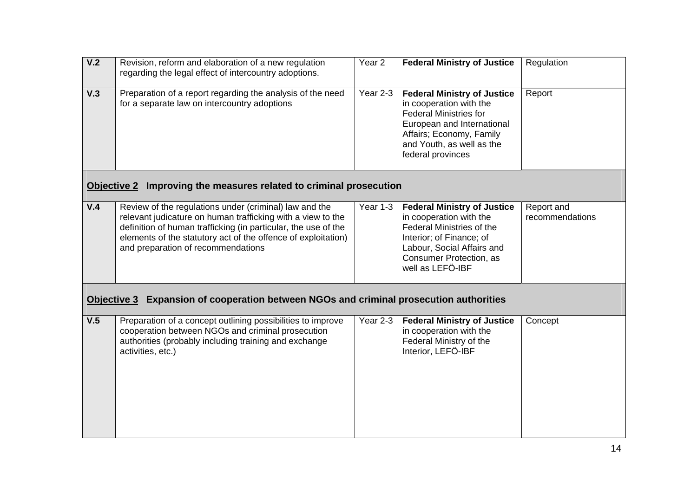| V.2                | Revision, reform and elaboration of a new regulation<br>regarding the legal effect of intercountry adoptions.                                                                                                                                                                                  | Year <sub>2</sub> | <b>Federal Ministry of Justice</b>                                                                                                                                                                         | Regulation                    |
|--------------------|------------------------------------------------------------------------------------------------------------------------------------------------------------------------------------------------------------------------------------------------------------------------------------------------|-------------------|------------------------------------------------------------------------------------------------------------------------------------------------------------------------------------------------------------|-------------------------------|
| V.3                | Preparation of a report regarding the analysis of the need<br>for a separate law on intercountry adoptions                                                                                                                                                                                     | Year $2-3$        | <b>Federal Ministry of Justice</b><br>in cooperation with the<br><b>Federal Ministries for</b><br>European and International<br>Affairs; Economy, Family<br>and Youth, as well as the<br>federal provinces | Report                        |
| <b>Objective 2</b> | Improving the measures related to criminal prosecution                                                                                                                                                                                                                                         |                   |                                                                                                                                                                                                            |                               |
| V.4                | Review of the regulations under (criminal) law and the<br>relevant judicature on human trafficking with a view to the<br>definition of human trafficking (in particular, the use of the<br>elements of the statutory act of the offence of exploitation)<br>and preparation of recommendations | Year 1-3          | <b>Federal Ministry of Justice</b><br>in cooperation with the<br>Federal Ministries of the<br>Interior; of Finance; of<br>Labour, Social Affairs and<br>Consumer Protection, as<br>well as LEFÖ-IBF        | Report and<br>recommendations |
| Objective 3        | Expansion of cooperation between NGOs and criminal prosecution authorities                                                                                                                                                                                                                     |                   |                                                                                                                                                                                                            |                               |
| V.5                | Preparation of a concept outlining possibilities to improve<br>cooperation between NGOs and criminal prosecution<br>authorities (probably including training and exchange<br>activities, etc.)                                                                                                 | Year 2-3          | <b>Federal Ministry of Justice</b><br>in cooperation with the<br>Federal Ministry of the<br>Interior, LEFÖ-IBF                                                                                             | Concept                       |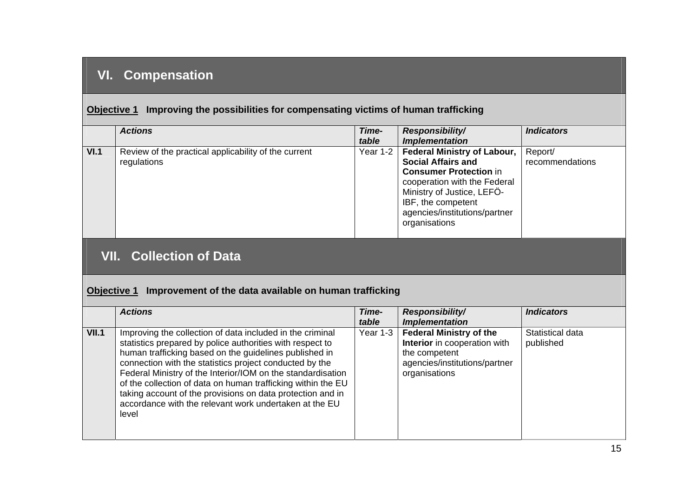## **VI. Compensation**

#### **Objective 1** Improving the possibilities for compensating victims of human trafficking

|      | <b>Actions</b>                                                      | Time-<br>table | <b>Responsibility/</b><br><i><b>Implementation</b></i>                                                                                                              | <b>Indicators</b>          |
|------|---------------------------------------------------------------------|----------------|---------------------------------------------------------------------------------------------------------------------------------------------------------------------|----------------------------|
| VI.1 | Review of the practical applicability of the current<br>regulations |                | Year 1-2   Federal Ministry of Labour,<br><b>Social Affairs and</b>                                                                                                 | Report/<br>recommendations |
|      |                                                                     |                | <b>Consumer Protection in</b><br>cooperation with the Federal<br>Ministry of Justice, LEFO-<br>IBF, the competent<br>agencies/institutions/partner<br>organisations |                            |

## **VII. Collection of Data**

#### **Objective 1 Improvement of the data available on human trafficking**

|       | <b>Actions</b>                                                                                                                                                                                                                                                                                                                                                                                                                                                                                              | Time-<br>table | <b>Responsibility/</b><br><b>Implementation</b>                                                                                   | <b>Indicators</b>             |
|-------|-------------------------------------------------------------------------------------------------------------------------------------------------------------------------------------------------------------------------------------------------------------------------------------------------------------------------------------------------------------------------------------------------------------------------------------------------------------------------------------------------------------|----------------|-----------------------------------------------------------------------------------------------------------------------------------|-------------------------------|
| VII.1 | Improving the collection of data included in the criminal<br>statistics prepared by police authorities with respect to<br>human trafficking based on the guidelines published in<br>connection with the statistics project conducted by the<br>Federal Ministry of the Interior/IOM on the standardisation<br>of the collection of data on human trafficking within the EU<br>taking account of the provisions on data protection and in<br>accordance with the relevant work undertaken at the EU<br>level | Year 1-3       | <b>Federal Ministry of the</b><br>Interior in cooperation with<br>the competent<br>agencies/institutions/partner<br>organisations | Statistical data<br>published |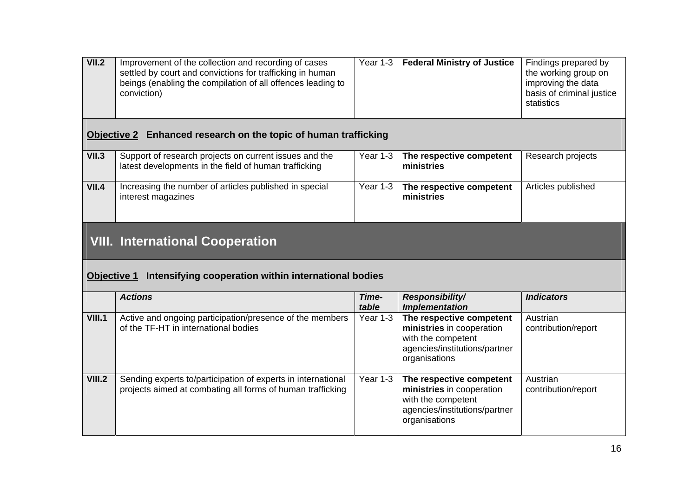| VII.2              | Improvement of the collection and recording of cases<br>settled by court and convictions for trafficking in human<br>beings (enabling the compilation of all offences leading to<br>conviction) | Year 1-3       | <b>Federal Ministry of Justice</b>                                                                                            | Findings prepared by<br>the working group on<br>improving the data<br>basis of criminal justice<br>statistics |
|--------------------|-------------------------------------------------------------------------------------------------------------------------------------------------------------------------------------------------|----------------|-------------------------------------------------------------------------------------------------------------------------------|---------------------------------------------------------------------------------------------------------------|
|                    | Objective 2 Enhanced research on the topic of human trafficking                                                                                                                                 |                |                                                                                                                               |                                                                                                               |
| <b>VII.3</b>       | Support of research projects on current issues and the<br>latest developments in the field of human trafficking                                                                                 | Year 1-3       | The respective competent<br>ministries                                                                                        | Research projects                                                                                             |
| VII.4              | Increasing the number of articles published in special<br>interest magazines                                                                                                                    | Year 1-3       | The respective competent<br>ministries                                                                                        | Articles published                                                                                            |
|                    |                                                                                                                                                                                                 |                |                                                                                                                               |                                                                                                               |
|                    | <b>VIII. International Cooperation</b>                                                                                                                                                          |                |                                                                                                                               |                                                                                                               |
| <b>Objective 1</b> | Intensifying cooperation within international bodies                                                                                                                                            |                |                                                                                                                               |                                                                                                               |
|                    | <b>Actions</b>                                                                                                                                                                                  | Time-<br>table | <b>Responsibility/</b><br><b>Implementation</b>                                                                               | <b>Indicators</b>                                                                                             |
| <b>VIII.1</b>      | Active and ongoing participation/presence of the members<br>of the TF-HT in international bodies                                                                                                | Year 1-3       | The respective competent<br>ministries in cooperation<br>with the competent<br>agencies/institutions/partner<br>organisations | Austrian<br>contribution/report                                                                               |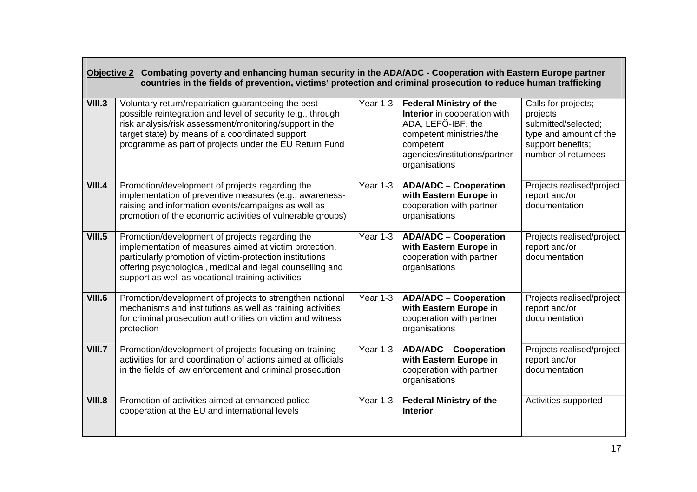| Objective 2 Combating poverty and enhancing human security in the ADA/ADC - Cooperation with Eastern Europe partner<br>countries in the fields of prevention, victims' protection and criminal prosecution to reduce human trafficking |                                                                                                                                                                                                                                                                                             |          |                                                                                                                                                                                 |                                                                                                                              |  |  |
|----------------------------------------------------------------------------------------------------------------------------------------------------------------------------------------------------------------------------------------|---------------------------------------------------------------------------------------------------------------------------------------------------------------------------------------------------------------------------------------------------------------------------------------------|----------|---------------------------------------------------------------------------------------------------------------------------------------------------------------------------------|------------------------------------------------------------------------------------------------------------------------------|--|--|
| <b>VIII.3</b>                                                                                                                                                                                                                          | Voluntary return/repatriation guaranteeing the best-<br>possible reintegration and level of security (e.g., through<br>risk analysis/risk assessment/monitoring/support in the<br>target state) by means of a coordinated support<br>programme as part of projects under the EU Return Fund | Year 1-3 | <b>Federal Ministry of the</b><br>Interior in cooperation with<br>ADA, LEFÖ-IBF, the<br>competent ministries/the<br>competent<br>agencies/institutions/partner<br>organisations | Calls for projects;<br>projects<br>submitted/selected;<br>type and amount of the<br>support benefits;<br>number of returnees |  |  |
| <b>VIII.4</b>                                                                                                                                                                                                                          | Promotion/development of projects regarding the<br>implementation of preventive measures (e.g., awareness-<br>raising and information events/campaigns as well as<br>promotion of the economic activities of vulnerable groups)                                                             | Year 1-3 | <b>ADA/ADC - Cooperation</b><br>with Eastern Europe in<br>cooperation with partner<br>organisations                                                                             | Projects realised/project<br>report and/or<br>documentation                                                                  |  |  |
| <b>VIII.5</b>                                                                                                                                                                                                                          | Promotion/development of projects regarding the<br>implementation of measures aimed at victim protection,<br>particularly promotion of victim-protection institutions<br>offering psychological, medical and legal counselling and<br>support as well as vocational training activities     | Year 1-3 | <b>ADA/ADC - Cooperation</b><br>with Eastern Europe in<br>cooperation with partner<br>organisations                                                                             | Projects realised/project<br>report and/or<br>documentation                                                                  |  |  |
| <b>VIII.6</b>                                                                                                                                                                                                                          | Promotion/development of projects to strengthen national<br>mechanisms and institutions as well as training activities<br>for criminal prosecution authorities on victim and witness<br>protection                                                                                          | Year 1-3 | <b>ADA/ADC - Cooperation</b><br>with Eastern Europe in<br>cooperation with partner<br>organisations                                                                             | Projects realised/project<br>report and/or<br>documentation                                                                  |  |  |
| <b>VIII.7</b>                                                                                                                                                                                                                          | Promotion/development of projects focusing on training<br>activities for and coordination of actions aimed at officials<br>in the fields of law enforcement and criminal prosecution                                                                                                        | Year 1-3 | <b>ADA/ADC - Cooperation</b><br>with Eastern Europe in<br>cooperation with partner<br>organisations                                                                             | Projects realised/project<br>report and/or<br>documentation                                                                  |  |  |
| <b>VIII.8</b>                                                                                                                                                                                                                          | Promotion of activities aimed at enhanced police<br>cooperation at the EU and international levels                                                                                                                                                                                          | Year 1-3 | <b>Federal Ministry of the</b><br><b>Interior</b>                                                                                                                               | Activities supported                                                                                                         |  |  |

the control of the control of the control of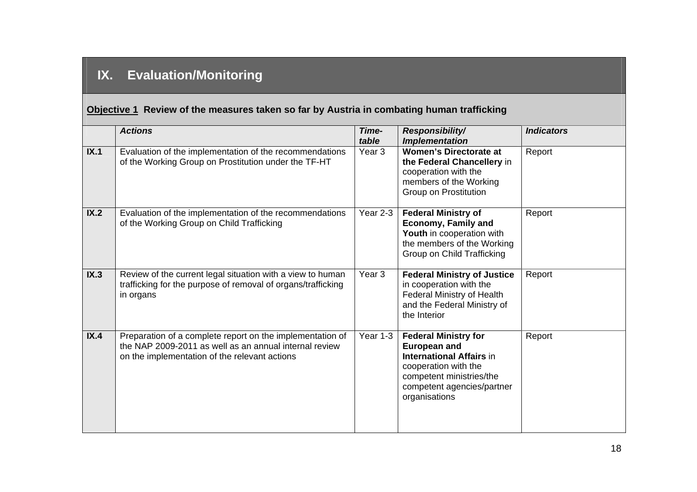# **IX. Evaluation/Monitoring**

## **Objective 1 Review of the measures taken so far by Austria in combating human trafficking**

|      | <b>Actions</b>                                                                                                                                                       | Time-<br>table    | Responsibility/<br><b>Implementation</b>                                                                                                                                                 | <b>Indicators</b> |
|------|----------------------------------------------------------------------------------------------------------------------------------------------------------------------|-------------------|------------------------------------------------------------------------------------------------------------------------------------------------------------------------------------------|-------------------|
| IX.1 | Evaluation of the implementation of the recommendations<br>of the Working Group on Prostitution under the TF-HT                                                      | Year <sub>3</sub> | <b>Women's Directorate at</b><br>the Federal Chancellery in<br>cooperation with the<br>members of the Working<br><b>Group on Prostitution</b>                                            | Report            |
| IX.2 | Evaluation of the implementation of the recommendations<br>of the Working Group on Child Trafficking                                                                 | Year 2-3          | <b>Federal Ministry of</b><br><b>Economy, Family and</b><br>Youth in cooperation with<br>the members of the Working<br>Group on Child Trafficking                                        | Report            |
| IX.3 | Review of the current legal situation with a view to human<br>trafficking for the purpose of removal of organs/trafficking<br>in organs                              | Year 3            | <b>Federal Ministry of Justice</b><br>in cooperation with the<br>Federal Ministry of Health<br>and the Federal Ministry of<br>the Interior                                               | Report            |
| IX.4 | Preparation of a complete report on the implementation of<br>the NAP 2009-2011 as well as an annual internal review<br>on the implementation of the relevant actions | Year 1-3          | <b>Federal Ministry for</b><br><b>European and</b><br><b>International Affairs in</b><br>cooperation with the<br>competent ministries/the<br>competent agencies/partner<br>organisations | Report            |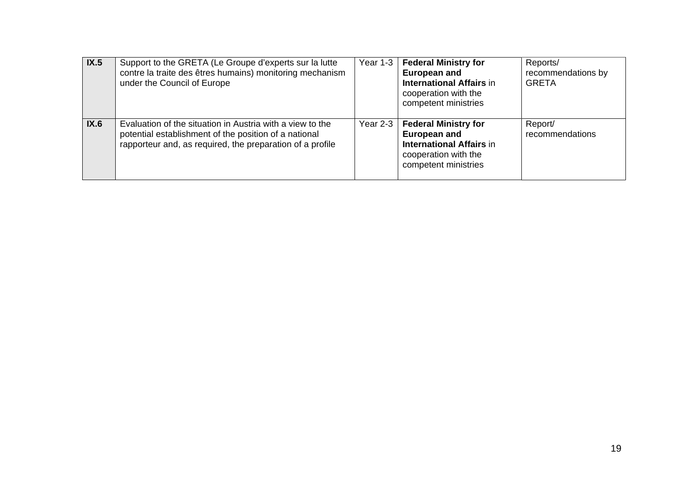| IX.5 | Support to the GRETA (Le Groupe d'experts sur la lutte<br>contre la traite des êtres humains) monitoring mechanism<br>under the Council of Europe                               | Year $1-3$           | <b>Federal Ministry for</b><br><b>European and</b><br><b>International Affairs in</b><br>cooperation with the<br>competent ministries | Reports/<br>recommendations by<br><b>GRETA</b> |
|------|---------------------------------------------------------------------------------------------------------------------------------------------------------------------------------|----------------------|---------------------------------------------------------------------------------------------------------------------------------------|------------------------------------------------|
| IX.6 | Evaluation of the situation in Austria with a view to the<br>potential establishment of the position of a national<br>rapporteur and, as required, the preparation of a profile | Year 2-3 $\parallel$ | <b>Federal Ministry for</b><br><b>European and</b><br><b>International Affairs in</b><br>cooperation with the<br>competent ministries | Report/<br>recommendations                     |